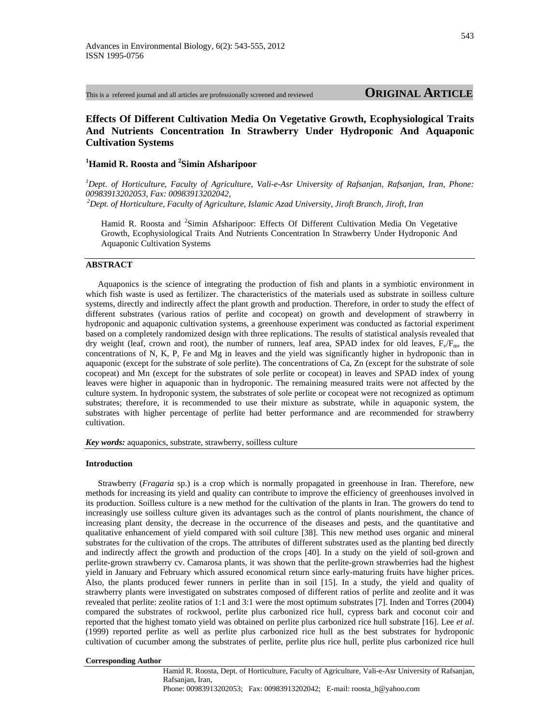This is a refereed journal and all articles are professionally screened and reviewed **ORIGINAL ARTICLE**

# **Effects Of Different Cultivation Media On Vegetative Growth, Ecophysiological Traits And Nutrients Concentration In Strawberry Under Hydroponic And Aquaponic Cultivation Systems**

# **1 Hamid R. Roosta and 2 Simin Afsharipoor**

<sup>1</sup>Dept. of Horticulture, Faculty of Agriculture, Vali-e-Asr University of Rafsanjan, Rafsanjan, Iran, Phone: *00983913202053, Fax: 00983913202042, 2Dept. of Horticulture, Faculty of Agriculture, Islamic Azad University, Jiroft Branch, Jiroft, Iran*

Hamid R. Roosta and <sup>2</sup>Simin Afsharipoor: Effects Of Different Cultivation Media On Vegetative Growth, Ecophysiological Traits And Nutrients Concentration In Strawberry Under Hydroponic And Aquaponic Cultivation Systems

# **ABSTRACT**

Aquaponics is the science of integrating the production of fish and plants in a symbiotic environment in which fish waste is used as fertilizer. The characteristics of the materials used as substrate in soilless culture systems, directly and indirectly affect the plant growth and production. Therefore, in order to study the effect of different substrates (various ratios of perlite and cocopeat) on growth and development of strawberry in hydroponic and aquaponic cultivation systems, a greenhouse experiment was conducted as factorial experiment based on a completely randomized design with three replications. The results of statistical analysis revealed that dry weight (leaf, crown and root), the number of runners, leaf area, SPAD index for old leaves,  $F_v/F_m$ , the concentrations of N, K, P, Fe and Mg in leaves and the yield was significantly higher in hydroponic than in aquaponic (except for the substrate of sole perlite). The concentrations of Ca, Zn (except for the substrate of sole cocopeat) and Mn (except for the substrates of sole perlite or cocopeat) in leaves and SPAD index of young leaves were higher in aquaponic than in hydroponic. The remaining measured traits were not affected by the culture system. In hydroponic system, the substrates of sole perlite or cocopeat were not recognized as optimum substrates; therefore, it is recommended to use their mixture as substrate, while in aquaponic system, the substrates with higher percentage of perlite had better performance and are recommended for strawberry cultivation.

*Key words:* aquaponics, substrate, strawberry, soilless culture

## **Introduction**

Strawberry (*Fragaria* sp.) is a crop which is normally propagated in greenhouse in Iran. Therefore, new methods for increasing its yield and quality can contribute to improve the efficiency of greenhouses involved in its production. Soilless culture is a new method for the cultivation of the plants in Iran. The growers do tend to increasingly use soilless culture given its advantages such as the control of plants nourishment, the chance of increasing plant density, the decrease in the occurrence of the diseases and pests, and the quantitative and qualitative enhancement of yield compared with soil culture [38]. This new method uses organic and mineral substrates for the cultivation of the crops. The attributes of different substrates used as the planting bed directly and indirectly affect the growth and production of the crops [40]. In a study on the yield of soil-grown and perlite-grown strawberry cv. Camarosa plants, it was shown that the perlite-grown strawberries had the highest yield in January and February which assured economical return since early-maturing fruits have higher prices. Also, the plants produced fewer runners in perlite than in soil [15]. In a study, the yield and quality of strawberry plants were investigated on substrates composed of different ratios of perlite and zeolite and it was revealed that perlite: zeolite ratios of 1:1 and 3:1 were the most optimum substrates [7]. Inden and Torres (2004) compared the substrates of rockwool, perlite plus carbonized rice hull, cypress bark and coconut coir and reported that the highest tomato yield was obtained on perlite plus carbonized rice hull substrate [16]. Lee *et al*. (1999) reported perlite as well as perlite plus carbonized rice hull as the best substrates for hydroponic cultivation of cucumber among the substrates of perlite, perlite plus rice hull, perlite plus carbonized rice hull

#### **Corresponding Author**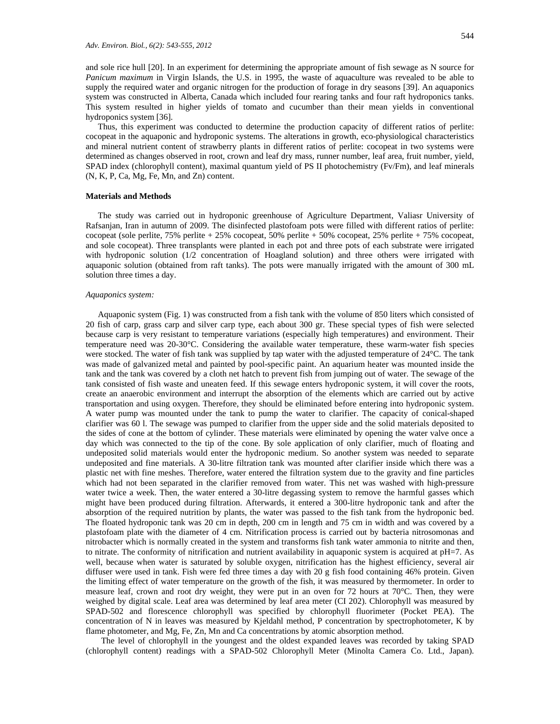and sole rice hull [20]. In an experiment for determining the appropriate amount of fish sewage as N source for *Panicum maximum* in Virgin Islands, the U.S. in 1995, the waste of aquaculture was revealed to be able to supply the required water and organic nitrogen for the production of forage in dry seasons [39]. An aquaponics system was constructed in Alberta, Canada which included four rearing tanks and four raft hydroponics tanks. This system resulted in higher yields of tomato and cucumber than their mean yields in conventional hydroponics system [36].

Thus, this experiment was conducted to determine the production capacity of different ratios of perlite: cocopeat in the aquaponic and hydroponic systems. The alterations in growth, eco-physiological characteristics and mineral nutrient content of strawberry plants in different ratios of perlite: cocopeat in two systems were determined as changes observed in root, crown and leaf dry mass, runner number, leaf area, fruit number, yield, SPAD index (chlorophyll content), maximal quantum yield of PS II photochemistry (Fv/Fm), and leaf minerals (N, K, P, Ca, Mg, Fe, Mn, and Zn) content.

## **Materials and Methods**

The study was carried out in hydroponic greenhouse of Agriculture Department, Valiasr University of Rafsanjan, Iran in autumn of 2009. The disinfected plastofoam pots were filled with different ratios of perlite: cocopeat (sole perlite, 75% perlite + 25% cocopeat, 50% perlite + 50% cocopeat, 25% perlite + 75% cocopeat, and sole cocopeat). Three transplants were planted in each pot and three pots of each substrate were irrigated with hydroponic solution (1/2 concentration of Hoagland solution) and three others were irrigated with aquaponic solution (obtained from raft tanks). The pots were manually irrigated with the amount of 300 mL solution three times a day.

#### *Aquaponics system:*

Aquaponic system (Fig. 1) was constructed from a fish tank with the volume of 850 liters which consisted of 20 fish of carp, grass carp and silver carp type, each about 300 gr. These special types of fish were selected because carp is very resistant to temperature variations (especially high temperatures) and environment. Their temperature need was 20-30°C. Considering the available water temperature, these warm-water fish species were stocked. The water of fish tank was supplied by tap water with the adjusted temperature of 24°C. The tank was made of galvanized metal and painted by pool-specific paint. An aquarium heater was mounted inside the tank and the tank was covered by a cloth net hatch to prevent fish from jumping out of water. The sewage of the tank consisted of fish waste and uneaten feed. If this sewage enters hydroponic system, it will cover the roots, create an anaerobic environment and interrupt the absorption of the elements which are carried out by active transportation and using oxygen. Therefore, they should be eliminated before entering into hydroponic system. A water pump was mounted under the tank to pump the water to clarifier. The capacity of conical-shaped clarifier was 60 l. The sewage was pumped to clarifier from the upper side and the solid materials deposited to the sides of cone at the bottom of cylinder. These materials were eliminated by opening the water valve once a day which was connected to the tip of the cone. By sole application of only clarifier, much of floating and undeposited solid materials would enter the hydroponic medium. So another system was needed to separate undeposited and fine materials. A 30-litre filtration tank was mounted after clarifier inside which there was a plastic net with fine meshes. Therefore, water entered the filtration system due to the gravity and fine particles which had not been separated in the clarifier removed from water. This net was washed with high-pressure water twice a week. Then, the water entered a 30-litre degassing system to remove the harmful gasses which might have been produced during filtration. Afterwards, it entered a 300-litre hydroponic tank and after the absorption of the required nutrition by plants, the water was passed to the fish tank from the hydroponic bed. The floated hydroponic tank was 20 cm in depth, 200 cm in length and 75 cm in width and was covered by a plastofoam plate with the diameter of 4 cm. Nitrification process is carried out by bacteria nitrosomonas and nitrobacter which is normally created in the system and transforms fish tank water ammonia to nitrite and then, to nitrate. The conformity of nitrification and nutrient availability in aquaponic system is acquired at pH=7. As well, because when water is saturated by soluble oxygen, nitrification has the highest efficiency, several air diffuser were used in tank. Fish were fed three times a day with 20 g fish food containing 46% protein. Given the limiting effect of water temperature on the growth of the fish, it was measured by thermometer. In order to measure leaf, crown and root dry weight, they were put in an oven for 72 hours at 70°C. Then, they were weighed by digital scale. Leaf area was determined by leaf area meter (CI 202). Chlorophyll was measured by SPAD-502 and florescence chlorophyll was specified by chlorophyll fluorimeter (Pocket PEA). The concentration of N in leaves was measured by Kjeldahl method, P concentration by spectrophotometer, K by flame photometer, and Mg, Fe, Zn, Mn and Ca concentrations by atomic absorption method.

The level of chlorophyll in the youngest and the oldest expanded leaves was recorded by taking SPAD (chlorophyll content) readings with a SPAD-502 Chlorophyll Meter (Minolta Camera Co. Ltd., Japan).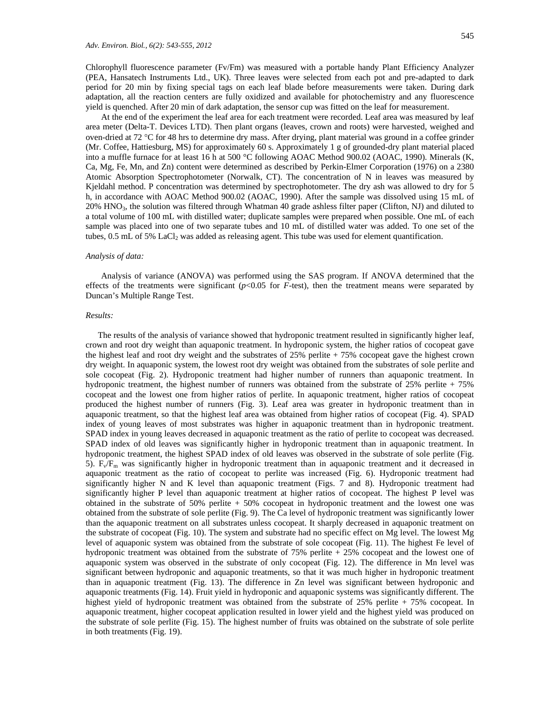545

Chlorophyll fluorescence parameter (Fv/Fm) was measured with a portable handy Plant Efficiency Analyzer (PEA, Hansatech Instruments Ltd., UK). Three leaves were selected from each pot and pre-adapted to dark period for 20 min by fixing special tags on each leaf blade before measurements were taken. During dark adaptation, all the reaction centers are fully oxidized and available for photochemistry and any fluorescence yield is quenched. After 20 min of dark adaptation, the sensor cup was fitted on the leaf for measurement.

At the end of the experiment the leaf area for each treatment were recorded. Leaf area was measured by leaf area meter (Delta-T. Devices LTD). Then plant organs (leaves, crown and roots) were harvested, weighed and oven-dried at  $72 \text{ °C}$  for 48 hrs to determine dry mass. After drying, plant material was ground in a coffee grinder (Mr. Coffee, Hattiesburg, MS) for approximately 60 s. Approximately 1 g of grounded-dry plant material placed into a muffle furnace for at least 16 h at 500 °C following AOAC Method 900.02 (AOAC, 1990). Minerals (K, Ca, Mg, Fe, Mn, and Zn) content were determined as described by Perkin-Elmer Corporation (1976) on a 2380 Atomic Absorption Spectrophotometer (Norwalk, CT). The concentration of N in leaves was measured by Kjeldahl method. P concentration was determined by spectrophotometer. The dry ash was allowed to dry for 5 h, in accordance with AOAC Method 900.02 (AOAC, 1990). After the sample was dissolved using 15 mL of 20% HNO3, the solution was filtered through Whatman 40 grade ashless filter paper (Clifton, NJ) and diluted to a total volume of 100 mL with distilled water; duplicate samples were prepared when possible. One mL of each sample was placed into one of two separate tubes and 10 mL of distilled water was added. To one set of the tubes,  $0.5$  mL of 5% LaCl<sub>2</sub> was added as releasing agent. This tube was used for element quantification.

#### *Analysis of data:*

Analysis of variance (ANOVA) was performed using the SAS program. If ANOVA determined that the effects of the treatments were significant  $(p<0.05$  for *F*-test), then the treatment means were separated by Duncan's Multiple Range Test.

### *Results:*

The results of the analysis of variance showed that hydroponic treatment resulted in significantly higher leaf, crown and root dry weight than aquaponic treatment. In hydroponic system, the higher ratios of cocopeat gave the highest leaf and root dry weight and the substrates of 25% perlite + 75% cocopeat gave the highest crown dry weight. In aquaponic system, the lowest root dry weight was obtained from the substrates of sole perlite and sole cocopeat (Fig. 2). Hydroponic treatment had higher number of runners than aquaponic treatment. In hydroponic treatment, the highest number of runners was obtained from the substrate of  $25\%$  perlite  $+75\%$ cocopeat and the lowest one from higher ratios of perlite. In aquaponic treatment, higher ratios of cocopeat produced the highest number of runners (Fig. 3). Leaf area was greater in hydroponic treatment than in aquaponic treatment, so that the highest leaf area was obtained from higher ratios of cocopeat (Fig. 4). SPAD index of young leaves of most substrates was higher in aquaponic treatment than in hydroponic treatment. SPAD index in young leaves decreased in aquaponic treatment as the ratio of perlite to cocopeat was decreased. SPAD index of old leaves was significantly higher in hydroponic treatment than in aquaponic treatment. In hydroponic treatment, the highest SPAD index of old leaves was observed in the substrate of sole perlite (Fig. 5).  $F_v/F_m$  was significantly higher in hydroponic treatment than in aquaponic treatment and it decreased in aquaponic treatment as the ratio of cocopeat to perlite was increased (Fig. 6). Hydroponic treatment had significantly higher N and K level than aquaponic treatment (Figs. 7 and 8). Hydroponic treatment had significantly higher P level than aquaponic treatment at higher ratios of cocopeat. The highest P level was obtained in the substrate of  $50\%$  perlite  $+50\%$  cocopeat in hydroponic treatment and the lowest one was obtained from the substrate of sole perlite (Fig. 9). The Ca level of hydroponic treatment was significantly lower than the aquaponic treatment on all substrates unless cocopeat. It sharply decreased in aquaponic treatment on the substrate of cocopeat (Fig. 10). The system and substrate had no specific effect on Mg level. The lowest Mg level of aquaponic system was obtained from the substrate of sole cocopeat (Fig. 11). The highest Fe level of hydroponic treatment was obtained from the substrate of 75% perlite + 25% cocopeat and the lowest one of aquaponic system was observed in the substrate of only cocopeat (Fig. 12). The difference in Mn level was significant between hydroponic and aquaponic treatments, so that it was much higher in hydroponic treatment than in aquaponic treatment (Fig. 13). The difference in Zn level was significant between hydroponic and aquaponic treatments (Fig. 14). Fruit yield in hydroponic and aquaponic systems was significantly different. The highest yield of hydroponic treatment was obtained from the substrate of 25% perlite + 75% cocopeat. In aquaponic treatment, higher cocopeat application resulted in lower yield and the highest yield was produced on the substrate of sole perlite (Fig. 15). The highest number of fruits was obtained on the substrate of sole perlite in both treatments (Fig. 19).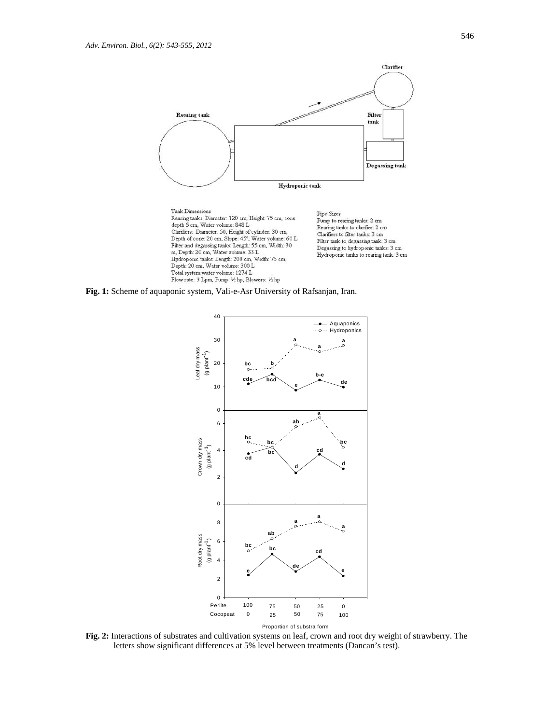

**Fig. 1:** Scheme of aquaponic system, Vali-e-Asr University of Rafsanjan, Iran.



**Fig. 2:** Interactions of substrates and cultivation systems on leaf, crown and root dry weight of strawberry. The letters show significant differences at 5% level between treatments (Dancan's test).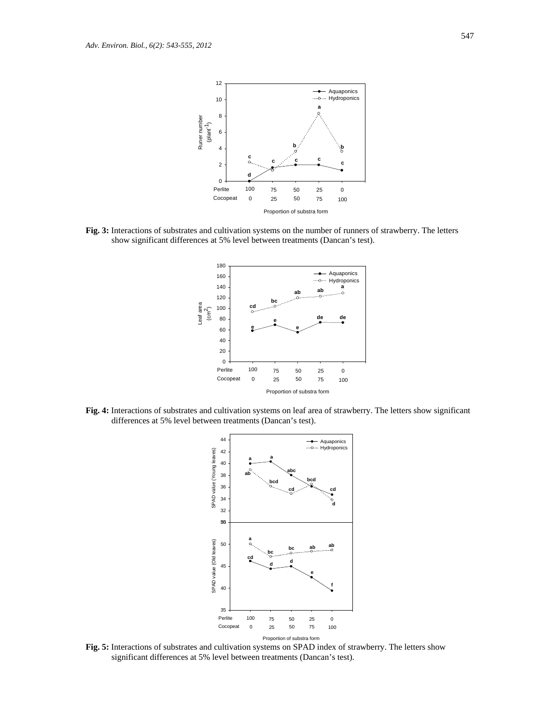

**Fig. 3:** Interactions of substrates and cultivation systems on the number of runners of strawberry. The letters show significant differences at 5% level between treatments (Dancan's test).



**Fig. 4:** Interactions of substrates and cultivation systems on leaf area of strawberry. The letters show significant differences at 5% level between treatments (Dancan's test).



**Fig. 5:** Interactions of substrates and cultivation systems on SPAD index of strawberry. The letters show significant differences at 5% level between treatments (Dancan's test).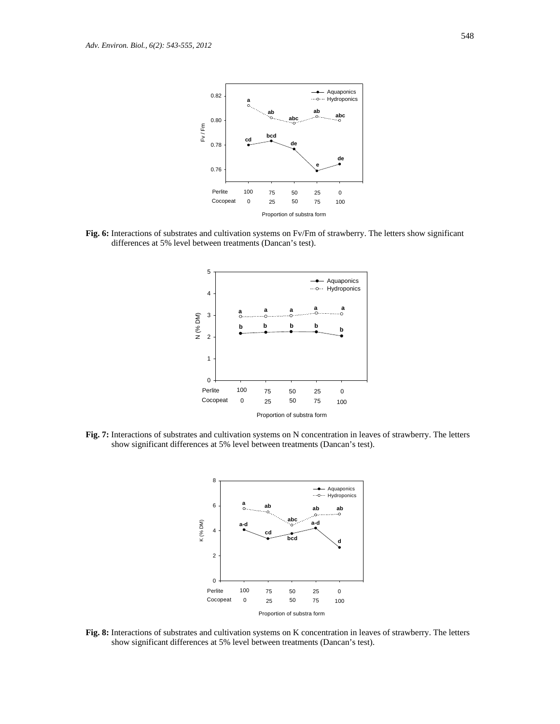

**Fig. 6:** Interactions of substrates and cultivation systems on Fv/Fm of strawberry. The letters show significant differences at 5% level between treatments (Dancan's test).



**Fig. 7:** Interactions of substrates and cultivation systems on N concentration in leaves of strawberry. The letters show significant differences at 5% level between treatments (Dancan's test).



**Fig. 8:** Interactions of substrates and cultivation systems on K concentration in leaves of strawberry. The letters show significant differences at 5% level between treatments (Dancan's test).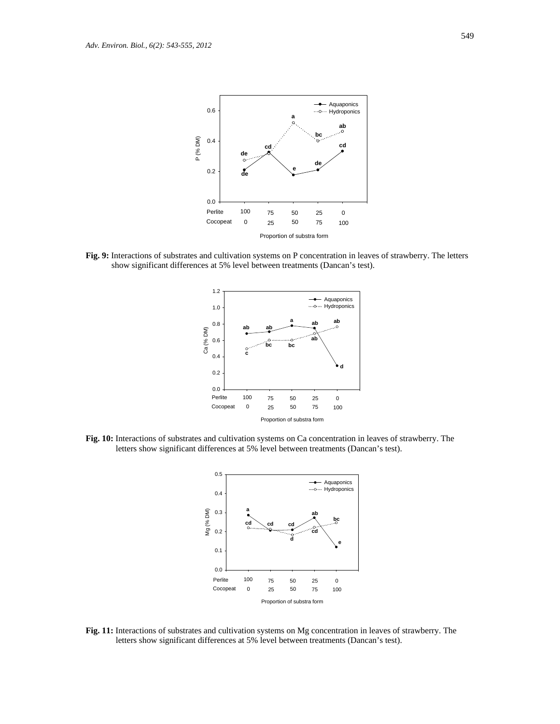

**Fig. 9:** Interactions of substrates and cultivation systems on P concentration in leaves of strawberry. The letters show significant differences at 5% level between treatments (Dancan's test).



**Fig. 10:** Interactions of substrates and cultivation systems on Ca concentration in leaves of strawberry. The letters show significant differences at 5% level between treatments (Dancan's test).



**Fig. 11:** Interactions of substrates and cultivation systems on Mg concentration in leaves of strawberry. The letters show significant differences at 5% level between treatments (Dancan's test).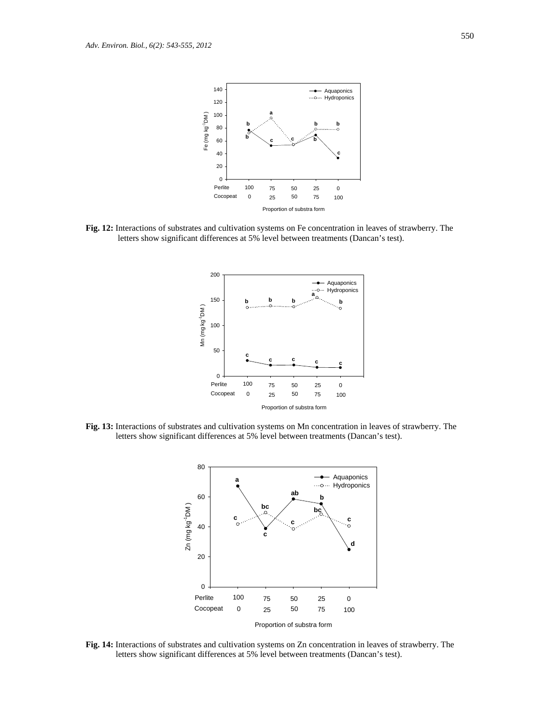

**Fig. 12:** Interactions of substrates and cultivation systems on Fe concentration in leaves of strawberry. The letters show significant differences at 5% level between treatments (Dancan's test).



**Fig. 13:** Interactions of substrates and cultivation systems on Mn concentration in leaves of strawberry. The letters show significant differences at 5% level between treatments (Dancan's test).



**Fig. 14:** Interactions of substrates and cultivation systems on Zn concentration in leaves of strawberry. The letters show significant differences at 5% level between treatments (Dancan's test).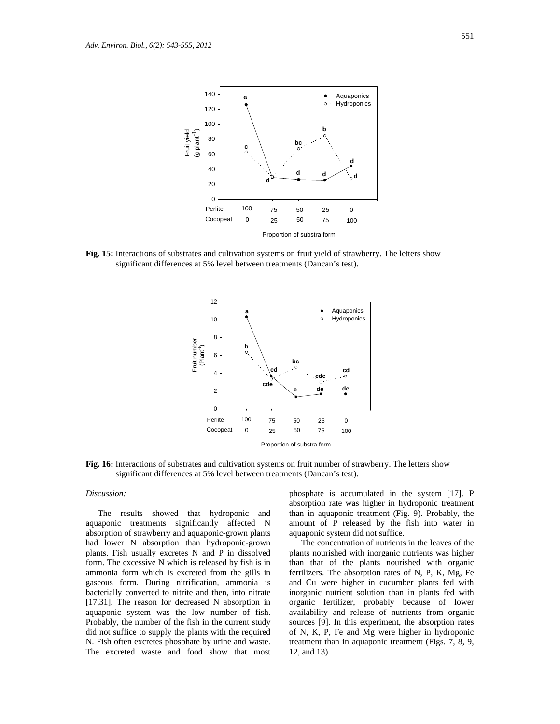

**Fig. 15:** Interactions of substrates and cultivation systems on fruit yield of strawberry. The letters show significant differences at 5% level between treatments (Dancan's test).



**Fig. 16:** Interactions of substrates and cultivation systems on fruit number of strawberry. The letters show significant differences at 5% level between treatments (Dancan's test).

#### *Discussion:*

The results showed that hydroponic and aquaponic treatments significantly affected N absorption of strawberry and aquaponic-grown plants had lower N absorption than hydroponic-grown plants. Fish usually excretes N and P in dissolved form. The excessive N which is released by fish is in ammonia form which is excreted from the gills in gaseous form. During nitrification, ammonia is bacterially converted to nitrite and then, into nitrate [17,31]. The reason for decreased N absorption in aquaponic system was the low number of fish. Probably, the number of the fish in the current study did not suffice to supply the plants with the required N. Fish often excretes phosphate by urine and waste. The excreted waste and food show that most

phosphate is accumulated in the system [17]. P absorption rate was higher in hydroponic treatment than in aquaponic treatment (Fig. 9). Probably, the amount of P released by the fish into water in aquaponic system did not suffice.

The concentration of nutrients in the leaves of the plants nourished with inorganic nutrients was higher than that of the plants nourished with organic fertilizers. The absorption rates of N, P, K, Mg, Fe and Cu were higher in cucumber plants fed with inorganic nutrient solution than in plants fed with organic fertilizer, probably because of lower availability and release of nutrients from organic sources [9]. In this experiment, the absorption rates of N, K, P, Fe and Mg were higher in hydroponic treatment than in aquaponic treatment (Figs. 7, 8, 9, 12, and 13).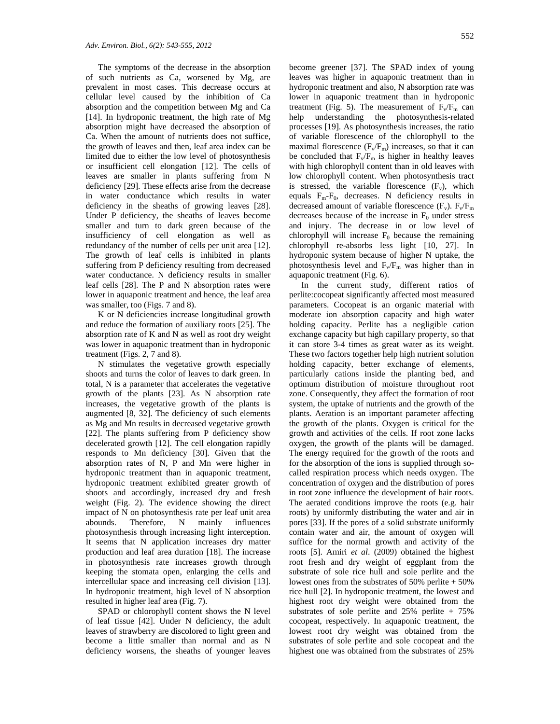The symptoms of the decrease in the absorption of such nutrients as Ca, worsened by Mg, are prevalent in most cases. This decrease occurs at cellular level caused by the inhibition of Ca absorption and the competition between Mg and Ca [14]. In hydroponic treatment, the high rate of Mg absorption might have decreased the absorption of Ca. When the amount of nutrients does not suffice, the growth of leaves and then, leaf area index can be limited due to either the low level of photosynthesis or insufficient cell elongation [12]. The cells of leaves are smaller in plants suffering from N deficiency [29]. These effects arise from the decrease in water conductance which results in water deficiency in the sheaths of growing leaves [28]. Under P deficiency, the sheaths of leaves become smaller and turn to dark green because of the insufficiency of cell elongation as well as redundancy of the number of cells per unit area [12]. The growth of leaf cells is inhibited in plants suffering from P deficiency resulting from decreased water conductance. N deficiency results in smaller leaf cells [28]. The P and N absorption rates were lower in aquaponic treatment and hence, the leaf area was smaller, too (Figs. 7 and 8).

K or N deficiencies increase longitudinal growth and reduce the formation of auxiliary roots [25]. The absorption rate of K and N as well as root dry weight was lower in aquaponic treatment than in hydroponic treatment (Figs. 2, 7 and 8).

N stimulates the vegetative growth especially shoots and turns the color of leaves to dark green. In total, N is a parameter that accelerates the vegetative growth of the plants [23]. As N absorption rate increases, the vegetative growth of the plants is augmented [8, 32]. The deficiency of such elements as Mg and Mn results in decreased vegetative growth [22]. The plants suffering from P deficiency show decelerated growth [12]. The cell elongation rapidly responds to Mn deficiency [30]. Given that the absorption rates of N, P and Mn were higher in hydroponic treatment than in aquaponic treatment, hydroponic treatment exhibited greater growth of shoots and accordingly, increased dry and fresh weight (Fig. 2). The evidence showing the direct impact of N on photosynthesis rate per leaf unit area abounds. Therefore, N mainly influences photosynthesis through increasing light interception. It seems that N application increases dry matter production and leaf area duration [18]. The increase in photosynthesis rate increases growth through keeping the stomata open, enlarging the cells and intercellular space and increasing cell division [13]. In hydroponic treatment, high level of N absorption resulted in higher leaf area (Fig. 7).

SPAD or chlorophyll content shows the N level of leaf tissue [42]. Under N deficiency, the adult leaves of strawberry are discolored to light green and become a little smaller than normal and as N deficiency worsens, the sheaths of younger leaves become greener [37]. The SPAD index of young leaves was higher in aquaponic treatment than in hydroponic treatment and also, N absorption rate was lower in aquaponic treatment than in hydroponic treatment (Fig. 5). The measurement of  $F_v/F_m$  can help understanding the photosynthesis-related processes [19]. As photosynthesis increases, the ratio of variable florescence of the chlorophyll to the maximal florescence  $(F_v/F_m)$  increases, so that it can be concluded that  $F_v/F_m$  is higher in healthy leaves with high chlorophyll content than in old leaves with low chlorophyll content. When photosynthesis tract is stressed, the variable florescence  $(F_v)$ , which equals  $F_m-F_0$ , decreases. N deficiency results in decreased amount of variable florescence  $(F_v)$ .  $F_v/F_m$ decreases because of the increase in  $F_0$  under stress and injury. The decrease in or low level of chlorophyll will increase  $F_0$  because the remaining chlorophyll re-absorbs less light [10, 27]. In hydroponic system because of higher N uptake, the photosynthesis level and  $F_v/F_m$  was higher than in aquaponic treatment (Fig. 6).

In the current study, different ratios of perlite:cocopeat significantly affected most measured parameters. Cocopeat is an organic material with moderate ion absorption capacity and high water holding capacity. Perlite has a negligible cation exchange capacity but high capillary property, so that it can store 3-4 times as great water as its weight. These two factors together help high nutrient solution holding capacity, better exchange of elements, particularly cations inside the planting bed, and optimum distribution of moisture throughout root zone. Consequently, they affect the formation of root system, the uptake of nutrients and the growth of the plants. Aeration is an important parameter affecting the growth of the plants. Oxygen is critical for the growth and activities of the cells. If root zone lacks oxygen, the growth of the plants will be damaged. The energy required for the growth of the roots and for the absorption of the ions is supplied through socalled respiration process which needs oxygen. The concentration of oxygen and the distribution of pores in root zone influence the development of hair roots. The aerated conditions improve the roots (e.g. hair roots) by uniformly distributing the water and air in pores [33]. If the pores of a solid substrate uniformly contain water and air, the amount of oxygen will suffice for the normal growth and activity of the roots [5]. Amiri *et al*. (2009) obtained the highest root fresh and dry weight of eggplant from the substrate of sole rice hull and sole perlite and the lowest ones from the substrates of 50% perlite + 50% rice hull [2]. In hydroponic treatment, the lowest and highest root dry weight were obtained from the substrates of sole perlite and  $25%$  perlite + 75% cocopeat, respectively. In aquaponic treatment, the lowest root dry weight was obtained from the substrates of sole perlite and sole cocopeat and the highest one was obtained from the substrates of 25%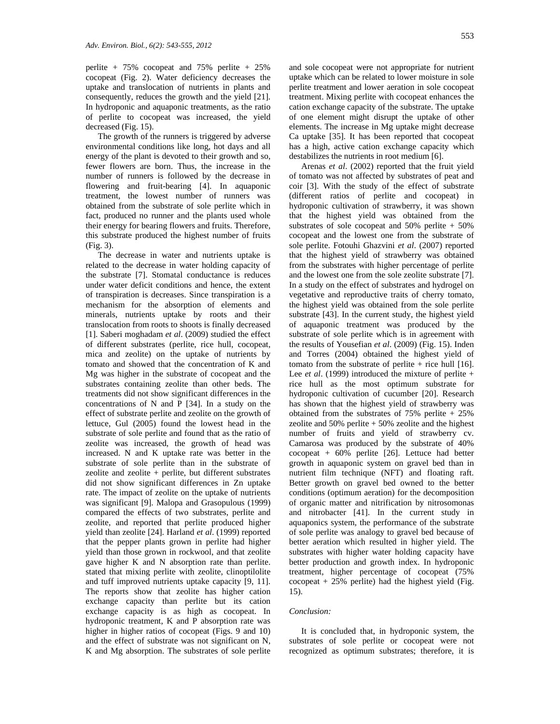perlite +  $75\%$  cocopeat and  $75\%$  perlite +  $25\%$ cocopeat (Fig. 2). Water deficiency decreases the uptake and translocation of nutrients in plants and consequently, reduces the growth and the yield [21]. In hydroponic and aquaponic treatments, as the ratio of perlite to cocopeat was increased, the yield decreased (Fig. 15).

The growth of the runners is triggered by adverse environmental conditions like long, hot days and all energy of the plant is devoted to their growth and so, fewer flowers are born. Thus, the increase in the number of runners is followed by the decrease in flowering and fruit-bearing [4]. In aquaponic treatment, the lowest number of runners was obtained from the substrate of sole perlite which in fact, produced no runner and the plants used whole their energy for bearing flowers and fruits. Therefore, this substrate produced the highest number of fruits (Fig. 3).

The decrease in water and nutrients uptake is related to the decrease in water holding capacity of the substrate [7]. Stomatal conductance is reduces under water deficit conditions and hence, the extent of transpiration is decreases. Since transpiration is a mechanism for the absorption of elements and minerals, nutrients uptake by roots and their translocation from roots to shoots is finally decreased [1]. Saberi moghadam *et al*. (2009) studied the effect of different substrates (perlite, rice hull, cocopeat, mica and zeolite) on the uptake of nutrients by tomato and showed that the concentration of K and Mg was higher in the substrate of cocopeat and the substrates containing zeolite than other beds. The treatments did not show significant differences in the concentrations of N and P [34]. In a study on the effect of substrate perlite and zeolite on the growth of lettuce, Gul (2005) found the lowest head in the substrate of sole perlite and found that as the ratio of zeolite was increased, the growth of head was increased. N and K uptake rate was better in the substrate of sole perlite than in the substrate of zeolite and zeolite + perlite, but different substrates did not show significant differences in Zn uptake rate. The impact of zeolite on the uptake of nutrients was significant [9]. Malopa and Grasopulous (1999) compared the effects of two substrates, perlite and zeolite, and reported that perlite produced higher yield than zeolite [24]. Harland *et al*. (1999) reported that the pepper plants grown in perlite had higher yield than those grown in rockwool, and that zeolite gave higher K and N absorption rate than perlite. stated that mixing perlite with zeolite, clinoptilolite and tuff improved nutrients uptake capacity [9, 11]. The reports show that zeolite has higher cation exchange capacity than perlite but its cation exchange capacity is as high as cocopeat. In hydroponic treatment, K and P absorption rate was higher in higher ratios of cocopeat (Figs. 9 and 10) and the effect of substrate was not significant on N, K and Mg absorption. The substrates of sole perlite and sole cocopeat were not appropriate for nutrient uptake which can be related to lower moisture in sole perlite treatment and lower aeration in sole cocopeat treatment. Mixing perlite with cocopeat enhances the cation exchange capacity of the substrate. The uptake of one element might disrupt the uptake of other elements. The increase in Mg uptake might decrease Ca uptake [35]. It has been reported that cocopeat has a high, active cation exchange capacity which destabilizes the nutrients in root medium [6].

Arenas *et al*. (2002) reported that the fruit yield of tomato was not affected by substrates of peat and coir [3]. With the study of the effect of substrate (different ratios of perlite and cocopeat) in hydroponic cultivation of strawberry, it was shown that the highest yield was obtained from the substrates of sole cocopeat and 50% perlite + 50% cocopeat and the lowest one from the substrate of sole perlite. Fotouhi Ghazvini *et al*. (2007) reported that the highest yield of strawberry was obtained from the substrates with higher percentage of perlite and the lowest one from the sole zeolite substrate [7]. In a study on the effect of substrates and hydrogel on vegetative and reproductive traits of cherry tomato, the highest yield was obtained from the sole perlite substrate [43]. In the current study, the highest yield of aquaponic treatment was produced by the substrate of sole perlite which is in agreement with the results of Yousefian *et al*. (2009) (Fig. 15). Inden and Torres (2004) obtained the highest yield of tomato from the substrate of perlite  $+$  rice hull [16]. Lee *et al.* (1999) introduced the mixture of perlite + rice hull as the most optimum substrate for hydroponic cultivation of cucumber [20]. Research has shown that the highest yield of strawberry was obtained from the substrates of  $75\%$  perlite  $+25\%$ zeolite and  $50\%$  perlite  $+50\%$  zeolite and the highest number of fruits and yield of strawberry cv. Camarosa was produced by the substrate of 40% cocopeat + 60% perlite [26]. Lettuce had better growth in aquaponic system on gravel bed than in nutrient film technique (NFT) and floating raft. Better growth on gravel bed owned to the better conditions (optimum aeration) for the decomposition of organic matter and nitrification by nitrosomonas and nitrobacter [41]. In the current study in aquaponics system, the performance of the substrate of sole perlite was analogy to gravel bed because of better aeration which resulted in higher yield. The substrates with higher water holding capacity have better production and growth index. In hydroponic treatment, higher percentage of cocopeat (75% cocopeat  $+25%$  perlite) had the highest yield (Fig. 15).

## *Conclusion:*

It is concluded that, in hydroponic system, the substrates of sole perlite or cocopeat were not recognized as optimum substrates; therefore, it is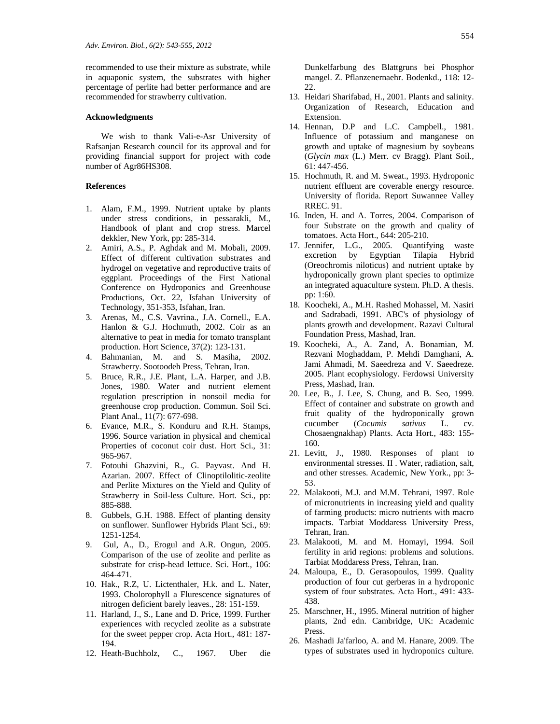recommended to use their mixture as substrate, while in aquaponic system, the substrates with higher percentage of perlite had better performance and are recommended for strawberry cultivation.

#### **Acknowledgments**

We wish to thank Vali-e-Asr University of Rafsanjan Research council for its approval and for providing financial support for project with code number of Agr86HS308.

# **References**

- 1. Alam, F.M., 1999. Nutrient uptake by plants under stress conditions, in pessarakli, M., Handbook of plant and crop stress. Marcel dekkler, New York, pp: 285-314.
- 2. Amiri, A.S., P. Aghdak and M. Mobali, 2009. Effect of different cultivation substrates and hydrogel on vegetative and reproductive traits of eggplant. Proceedings of the First National Conference on Hydroponics and Greenhouse Productions, Oct. 22, Isfahan University of Technology, 351-353, Isfahan, Iran.
- 3. Arenas, M., C.S. Vavrina., J.A. Cornell., E.A. Hanlon & G.J. Hochmuth, 2002. Coir as an alternative to peat in media for tomato transplant production. Hort Science, 37(2): 123-131.
- 4. Bahmanian, M. and S. Masiha, 2002. Strawberry. Sootoodeh Press, Tehran, Iran.
- 5. Bruce, R.R., J.E. Plant, L.A. Harper, and J.B. Jones, 1980. Water and nutrient element regulation prescription in nonsoil media for greenhouse crop production. Commun. Soil Sci. Plant Anal., 11(7): 677-698.
- 6. Evance, M.R., S. Konduru and R.H. Stamps, 1996. Source variation in physical and chemical Properties of coconut coir dust. Hort Sci., 31: 965-967.
- 7. Fotouhi Ghazvini, R., G. Payvast. And H. Azarian. 2007. Effect of Clinoptilolitic-zeolite and Perlite Mixtures on the Yield and Qulity of Strawberry in Soil-less Culture. Hort. Sci., pp: 885-888.
- 8. Gubbels, G.H. 1988. Effect of planting density on sunflower. Sunflower Hybrids Plant Sci., 69: 1251-1254.
- 9. Gul, A., D., Erogul and A.R. Ongun, 2005. Comparison of the use of zeolite and perlite as substrate for crisp-head lettuce. Sci. Hort., 106: 464-471.
- 10. Hak., R.Z, U. Lictenthaler, H.k. and L. Nater, 1993. Cholorophyll a Flurescence signatures of nitrogen deficient barely leaves., 28: 151-159.
- 11. Harland, J., S., Lane and D. Price, 1999. Further experiences with recycled zeolite as a substrate for the sweet pepper crop. Acta Hort., 481: 187- 194.
- 12. Heath-Buchholz, C., 1967. Uber die

Dunkelfarbung des Blattgruns bei Phosphor mangel. Z. Pflanzenernaehr. Bodenkd., 118: 12- 22.

- 13. Heidari Sharifabad, H., 2001. Plants and salinity. Organization of Research, Education and Extension.
- 14. Hennan, D.P and L.C. Campbell., 1981. Influence of potassium and manganese on growth and uptake of magnesium by soybeans (*Glycin max* (L.) Merr. cv Bragg). Plant Soil., 61: 447-456.
- 15. Hochmuth, R. and M. Sweat., 1993. Hydroponic nutrient effluent are coverable energy resource. University of florida. Report Suwannee Valley RREC. 91.
- 16. Inden, H. and A. Torres, 2004. Comparison of four Substrate on the growth and quality of tomatoes. Acta Hort., 644: 205-210.
- 17. Jennifer, L.G., 2005. Quantifying waste excretion by Egyptian Tilapia Hybrid (Oreochromis niloticus) and nutrient uptake by hydroponically grown plant species to optimize an integrated aquaculture system. Ph.D. A thesis. pp: 1:60.
- 18. Koocheki, A., M.H. Rashed Mohassel, M. Nasiri and Sadrabadi, 1991. ABC's of physiology of plants growth and development. Razavi Cultural Foundation Press, Mashad, Iran.
- 19. Koocheki, A., A. Zand, A. Bonamian, M. Rezvani Moghaddam, P. Mehdi Damghani, A. Jami Ahmadi, M. Saeedreza and V. Saeedreze. 2005. Plant ecophysiology. Ferdowsi University Press, Mashad, Iran.
- 20. Lee, B., J. Lee, S. Chung, and B. Seo, 1999. Effect of container and substrate on growth and fruit quality of the hydroponically grown cucumber (*Cocumis sativus* L. cv. Chosaengnakhap) Plants. Acta Hort., 483: 155- 160.
- 21. Levitt, J., 1980. Responses of plant to environmental stresses. II . Water, radiation, salt, and other stresses. Academic, New York., pp: 3- 53.
- 22. Malakooti, M.J. and M.M. Tehrani, 1997. Role of micronutrients in increasing yield and quality of farming products: micro nutrients with macro impacts. Tarbiat Moddaress University Press, Tehran, Iran.
- 23. Malakooti, M. and M. Homayi, 1994. Soil fertility in arid regions: problems and solutions. Tarbiat Moddaress Press, Tehran, Iran.
- 24. Maloupa, E., D. Gerasopoulos, 1999. Quality production of four cut gerberas in a hydroponic system of four substrates. Acta Hort., 491: 433- 438.
- 25. Marschner, H., 1995. Mineral nutrition of higher plants, 2nd edn. Cambridge, UK: Academic Press.
- 26. Mashadi Ja'farloo, A. and M. Hanare, 2009. The types of substrates used in hydroponics culture.